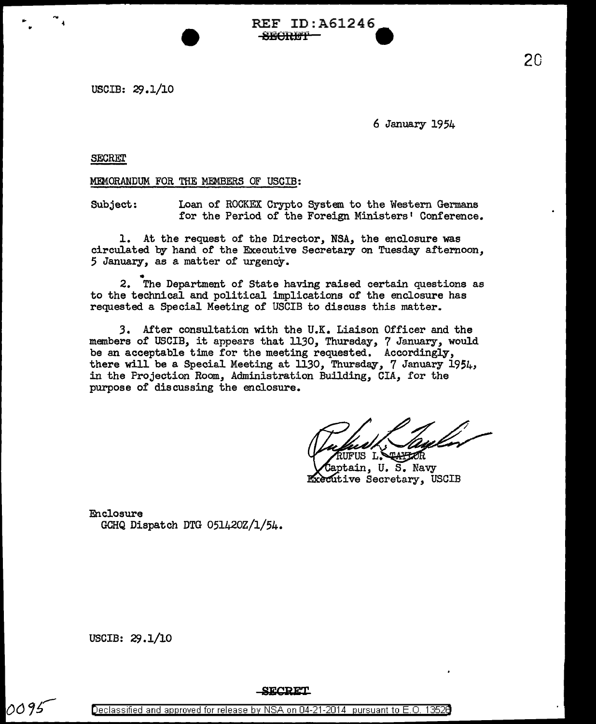REF ID: A61246  $-$ SECRET

USCIB: 29.1/10

6 January 1954

**SECRET** 

...

MEMORANDUM FOR THE MEMBERS OF USCIB:

Subject: Loan of ROCKEX Crypto System to the Western Germans for the Period of the Foreign Ministers' Conference.

1. At the request of the Director, NSA, the enclosure was circulated by hand of the Executive Secretary on Tuesday afternoon, 5 January, as a matter of urgency •

2. The Department of State having raised certain questions as to the technical and political implications of the enclosure has requested a Special Meeting of USCIB to discuss this matter.

3. After consultation with the U.K. Liaison Officer and the members of USCIB, it appears that 1130, Thursday, 7 January, would be an acceptable time for the meeting requested. Accordingly, there will be a Special Meeting at 1130, Thursday, 7 January 1954, in the Projection Room, Administration Building, CIA, for the purpose of discussing the enclosure.

US L'S TAPPOR ptain, U. S. Navy Executive Secretary, USCIB

Enclosure GCHQ Dispatch DTG 051420Z/l/54.

USCIB: 29.1/10

0095